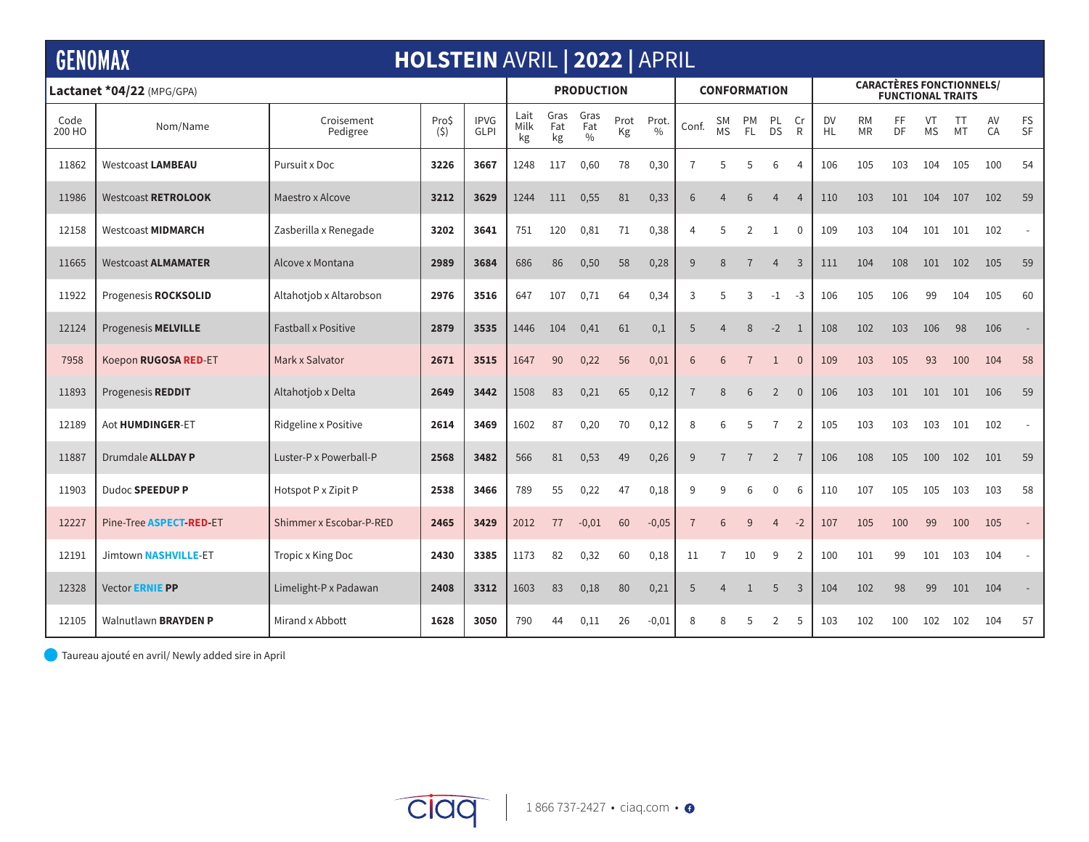| <b>GENOMAX</b><br><b>HOLSTEIN AVRIL   2022   APRIL</b> |                             |                            |              |                            |                    |                   |                              |            |                        |                     |                       |                |                 |                |                                                             |                        |          |                 |          |          |                |  |
|--------------------------------------------------------|-----------------------------|----------------------------|--------------|----------------------------|--------------------|-------------------|------------------------------|------------|------------------------|---------------------|-----------------------|----------------|-----------------|----------------|-------------------------------------------------------------|------------------------|----------|-----------------|----------|----------|----------------|--|
| Lactanet *04/22 (MPG/GPA)                              |                             |                            |              |                            | <b>PRODUCTION</b>  |                   |                              |            |                        | <b>CONFORMATION</b> |                       |                |                 |                | <b>CARACTÈRES FONCTIONNELS/</b><br><b>FUNCTIONAL TRAITS</b> |                        |          |                 |          |          |                |  |
| Code<br>200 HO                                         | Nom/Name                    | Croisement<br>Pedigree     | Pro\$<br>(5) | <b>IPVG</b><br><b>GLPI</b> | Lait<br>Milk<br>kg | Gras<br>Fat<br>kg | Gras<br>Fat<br>$\frac{0}{0}$ | Prot<br>Kg | Prot.<br>$\frac{0}{0}$ | Conf.               | SΜ<br><b>MS</b>       | PM<br>FL.      | PL<br><b>DS</b> | Cr<br>R        | <b>DV</b><br>HL.                                            | <b>RM</b><br><b>MR</b> | FF<br>DF | VT<br><b>MS</b> | TT<br>MT | AV<br>CA | FS<br>SF       |  |
| 11862                                                  | <b>Westcoast LAMBEAU</b>    | Pursuit x Doc              | 3226         | 3667                       | 1248               | 117               | 0,60                         | 78         | 0,30                   | 7                   | 5                     | 5              | 6               | 4              | 106                                                         | 105                    | 103      | 104             | 105      | 100      | 54             |  |
| 11986                                                  | <b>Westcoast RETROLOOK</b>  | Maestro x Alcove           | 3212         | 3629                       | 1244               | 111               | 0,55                         | 81         | 0,33                   | 6                   | $\overline{4}$        | 6              | $\overline{4}$  | $\overline{4}$ | 110                                                         | 103                    | 101      | 104             | 107      | 102      | 59             |  |
| 12158                                                  | <b>Westcoast MIDMARCH</b>   | Zasberilla x Renegade      | 3202         | 3641                       | 751                | 120               | 0,81                         | 71         | 0,38                   | 4                   | 5                     | $\overline{2}$ | 1               | $\mathbf 0$    | 109                                                         | 103                    | 104      | 101             | 101      | 102      | $\overline{a}$ |  |
| 11665                                                  | <b>Westcoast ALMAMATER</b>  | Alcove x Montana           | 2989         | 3684                       | 686                | 86                | 0,50                         | 58         | 0,28                   | 9                   | 8                     | $\overline{7}$ | $\overline{4}$  | $\overline{3}$ | 111                                                         | 104                    | 108      | 101             | 102      | 105      | 59             |  |
| 11922                                                  | Progenesis ROCKSOLID        | Altahotjob x Altarobson    | 2976         | 3516                       | 647                | 107               | 0,71                         | 64         | 0,34                   | 3                   | 5                     | 3              | $-1$            | -3             | 106                                                         | 105                    | 106      | 99              | 104      | 105      | 60             |  |
| 12124                                                  | Progenesis MELVILLE         | <b>Fastball x Positive</b> | 2879         | 3535                       | 1446               | 104               | 0,41                         | 61         | 0,1                    | 5                   | $\overline{4}$        | 8              | $-2$            | $\overline{1}$ | 108                                                         | 102                    | 103      | 106             | 98       | 106      |                |  |
| 7958                                                   | Koepon RUGOSA RED-ET        | Mark x Salvator            | 2671         | 3515                       | 1647               | 90                | 0,22                         | 56         | 0,01                   | 6                   | 6                     | $\overline{7}$ | $\mathbf{1}$    | $\overline{0}$ | 109                                                         | 103                    | 105      | 93              | 100      | 104      | 58             |  |
| 11893                                                  | Progenesis REDDIT           | Altahotjob x Delta         | 2649         | 3442                       | 1508               | 83                | 0,21                         | 65         | 0,12                   | $\overline{7}$      | 8                     | 6              | $\overline{2}$  | $\overline{0}$ | 106                                                         | 103                    | 101      | 101             | 101      | 106      | 59             |  |
| 12189                                                  | Aot HUMDINGER-ET            | Ridgeline x Positive       | 2614         | 3469                       | 1602               | 87                | 0,20                         | 70         | 0,12                   | 8                   | 6                     | 5              | $\overline{7}$  | $\overline{2}$ | 105                                                         | 103                    | 103      | 103             | 101      | 102      | $\sim$         |  |
| 11887                                                  | Drumdale <b>ALLDAY P</b>    | Luster-P x Powerball-P     | 2568         | 3482                       | 566                | 81                | 0,53                         | 49         | 0,26                   | 9                   | $\overline{7}$        | $\overline{7}$ | $\overline{2}$  | $\overline{7}$ | 106                                                         | 108                    | 105      | 100             | 102      | 101      | 59             |  |
| 11903                                                  | Dudoc SPEEDUP P             | Hotspot P x Zipit P        | 2538         | 3466                       | 789                | 55                | 0,22                         | 47         | 0,18                   | 9                   | q                     | 6              | $\Omega$        | 6              | 110                                                         | 107                    | 105      | 105             | 103      | 103      | 58             |  |
| 12227                                                  | Pine-Tree ASPECT-RED-ET     | Shimmer x Escobar-P-RED    | 2465         | 3429                       | 2012               | 77                | $-0,01$                      | 60         | $-0,05$                | 7                   | 6                     | 9              | 4               | $-2$           | 107                                                         | 105                    | 100      | 99              | 100      | 105      | $\mathbb{L}$   |  |
| 12191                                                  | Jimtown NASHVILLE-ET        | Tropic x King Doc          | 2430         | 3385                       | 1173               | 82                | 0,32                         | 60         | 0,18                   | 11                  | 7                     | 10             | 9               | 2              | 100                                                         | 101                    | 99       | 101             | 103      | 104      | $\sim$         |  |
| 12328                                                  | Vector <b>ERNIE PP</b>      | Limelight-P x Padawan      | 2408         | 3312                       | 1603               | 83                | 0,18                         | 80         | 0,21                   | 5                   | $\overline{4}$        | $\mathbf{1}$   | 5               | 3              | 104                                                         | 102                    | 98       | 99              | 101      | 104      |                |  |
| 12105                                                  | Walnutlawn <b>BRAYDEN P</b> | Mirand x Abbott            | 1628         | 3050                       | 790                | 44                | 0,11                         | 26         | $-0,01$                | 8                   | $\mathsf{\mathsf{R}}$ | .5             | 2               | .5             | 103                                                         | 102                    | 100      | 102             | 102      | 104      | 57             |  |

Taureau ajouté en avril/ Newly added sire in April